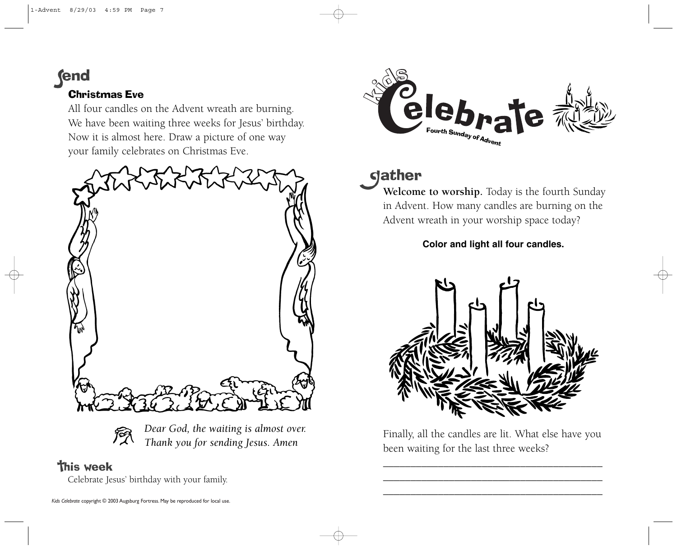**fend** 

### Christmas Eve

All four candles on the Advent wreath are burning. We have been waiting three weeks for Jesus' birthday. Now it is almost here. Draw a picture of one way your family celebrates on Christmas Eve.



*Dear God, the waiting is almost over. Thank you for sending Jesus. Amen*

## **This week**

Celebrate Jesus' birthday with your family.



# **gather**

**Welcome to worship.** Today is the fourth Sunday in Advent. How many candles are burning on the Advent wreath in your worship space today?

**Color and light all four candles.**



Finally, all the candles are lit. What else have you been waiting for the last three weeks?

\_\_\_\_\_\_\_\_\_\_\_\_\_\_\_\_\_\_\_\_\_\_\_\_\_\_\_\_\_\_\_\_\_\_\_\_\_\_\_\_ \_\_\_\_\_\_\_\_\_\_\_\_\_\_\_\_\_\_\_\_\_\_\_\_\_\_\_\_\_\_\_\_\_\_\_\_\_\_\_\_ \_\_\_\_\_\_\_\_\_\_\_\_\_\_\_\_\_\_\_\_\_\_\_\_\_\_\_\_\_\_\_\_\_\_\_\_\_\_\_\_